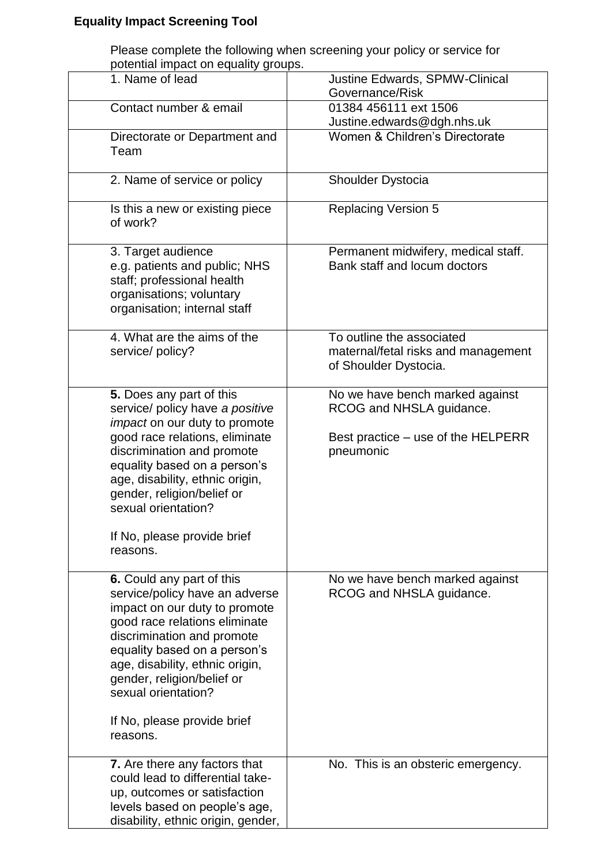## **Equality Impact Screening Tool**

Please complete the following when screening your policy or service for potential impact on equality groups.

| otontian impact on oqualit                                                                                                                                                                                                                                                                                                             |                                                                                                                |
|----------------------------------------------------------------------------------------------------------------------------------------------------------------------------------------------------------------------------------------------------------------------------------------------------------------------------------------|----------------------------------------------------------------------------------------------------------------|
| 1. Name of lead                                                                                                                                                                                                                                                                                                                        | Justine Edwards, SPMW-Clinical<br>Governance/Risk                                                              |
| Contact number & email                                                                                                                                                                                                                                                                                                                 | 01384 456111 ext 1506<br>Justine.edwards@dgh.nhs.uk                                                            |
| Directorate or Department and<br>Team                                                                                                                                                                                                                                                                                                  | Women & Children's Directorate                                                                                 |
| 2. Name of service or policy                                                                                                                                                                                                                                                                                                           | Shoulder Dystocia                                                                                              |
| Is this a new or existing piece<br>of work?                                                                                                                                                                                                                                                                                            | <b>Replacing Version 5</b>                                                                                     |
| 3. Target audience<br>e.g. patients and public; NHS<br>staff; professional health<br>organisations; voluntary<br>organisation; internal staff                                                                                                                                                                                          | Permanent midwifery, medical staff.<br>Bank staff and locum doctors                                            |
| 4. What are the aims of the<br>service/ policy?                                                                                                                                                                                                                                                                                        | To outline the associated<br>maternal/fetal risks and management<br>of Shoulder Dystocia.                      |
| 5. Does any part of this<br>service/ policy have a positive<br><i>impact</i> on our duty to promote<br>good race relations, eliminate<br>discrimination and promote<br>equality based on a person's<br>age, disability, ethnic origin,<br>gender, religion/belief or<br>sexual orientation?<br>If No, please provide brief<br>reasons. | No we have bench marked against<br>RCOG and NHSLA guidance.<br>Best practice – use of the HELPERR<br>pneumonic |
| 6. Could any part of this<br>service/policy have an adverse<br>impact on our duty to promote<br>good race relations eliminate<br>discrimination and promote<br>equality based on a person's<br>age, disability, ethnic origin,<br>gender, religion/belief or<br>sexual orientation?<br>If No, please provide brief<br>reasons.         | No we have bench marked against<br>RCOG and NHSLA guidance.                                                    |
| 7. Are there any factors that<br>could lead to differential take-<br>up, outcomes or satisfaction<br>levels based on people's age,<br>disability, ethnic origin, gender,                                                                                                                                                               | No. This is an obsteric emergency.                                                                             |